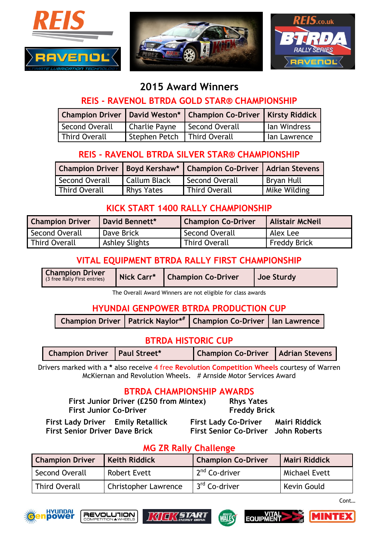





# **2015 Award Winners**

### **REIS - RAVENOL BTRDA GOLD STAR® CHAMPIONSHIP**

|                      |                                | Champion Driver   David Weston*   Champion Co-Driver   Kirsty Riddick |              |
|----------------------|--------------------------------|-----------------------------------------------------------------------|--------------|
| Second Overall       | Charlie Payne   Second Overall |                                                                       | lan Windress |
| <b>Third Overall</b> | Stephen Petch   Third Overall  |                                                                       | lan Lawrence |

## **REIS - RAVENOL BTRDA SILVER STAR® CHAMPIONSHIP**

|                |                     | Champion Driver   Boyd Kershaw*   Champion Co-Driver   Adrian Stevens |                   |
|----------------|---------------------|-----------------------------------------------------------------------|-------------------|
| Second Overall | <b>Callum Black</b> | <b>Second Overall</b>                                                 | <b>Bryan Hull</b> |
| Third Overall  | <b>Rhys Yates</b>   | <b>Third Overall</b>                                                  | Mike Wilding      |

# **KICK START 1400 RALLY CHAMPIONSHIP**

| <b>Champion Driver</b> | David Bennett*        | <b>Champion Co-Driver</b> | <b>Alistair McNeil</b> |
|------------------------|-----------------------|---------------------------|------------------------|
| Second Overall         | Dave Brick            | Second Overall            | Alex Lee               |
| <b>Third Overall</b>   | <b>Ashley Slights</b> | Third Overall             | <b>Freddy Brick</b>    |

# **VITAL EQUIPMENT BTRDA RALLY FIRST CHAMPIONSHIP**

| <b>Champion Driver</b><br>Nick Carr*<br>(3 free Rally First entries) | <b>Champion Co-Driver</b> | Joe Sturdy |
|----------------------------------------------------------------------|---------------------------|------------|
|----------------------------------------------------------------------|---------------------------|------------|

The Overall Award Winners are not eligible for class awards

### **HYUNDAI GENPOWER BTRDA PRODUCTION CUP**

| Champion Driver   Patrick Naylor*#   Champion Co-Driver   Ian Lawrence |  |  |
|------------------------------------------------------------------------|--|--|
|------------------------------------------------------------------------|--|--|

## **BTRDA HISTORIC CUP**

| Champion Driver   Paul Street* |  | Champion Co-Driver   Adrian Stevens |  |
|--------------------------------|--|-------------------------------------|--|
|--------------------------------|--|-------------------------------------|--|

Drivers marked with a **\*** also receive 4 free **Revolution Competition Wheels** courtesy of Warren McKiernan and Revolution Wheels. # Arnside Motor Services Award

#### **BTRDA CHAMPIONSHIP AWARDS**

|                                                                   | First Junior Driver (£250 from Mintex)<br><b>First Junior Co-Driver</b> |  | <b>Rhys Yates</b><br><b>Freddy Brick</b> |                                                      |
|-------------------------------------------------------------------|-------------------------------------------------------------------------|--|------------------------------------------|------------------------------------------------------|
| <b>First Lady Driver</b><br><b>First Senior Driver Dave Brick</b> | <b>Emily Retallick</b>                                                  |  | <b>First Lady Co-Driver</b>              | Mairi Riddick<br>First Senior Co-Driver John Roberts |

### **MG ZR Rally Challenge**

| <b>Champion Driver</b><br><b>Keith Riddick</b> |                             | <b>Champion Co-Driver</b> | <b>Mairi Riddick</b> |
|------------------------------------------------|-----------------------------|---------------------------|----------------------|
| Second Overall                                 | <b>Robert Evett</b>         | 2 <sup>nd</sup> Co-driver | Michael Evett        |
| <b>Third Overall</b>                           | <b>Christopher Lawrence</b> | 3 <sup>rd</sup> Co-driver | Kevin Gould          |













Cont…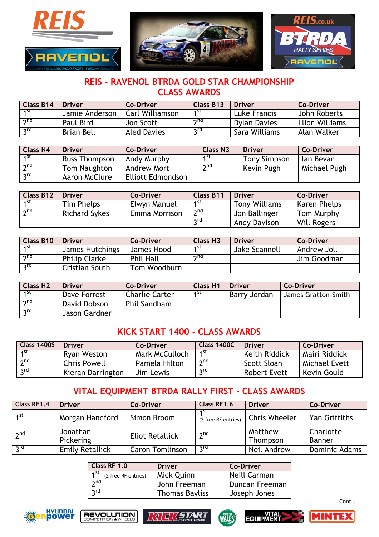





### **REIS - RAVENOL BTRDA GOLD STAR CHAMPIONSHIP CLASS AWARDS**

| Class B14           | <b>Driver</b>  | <b>Co-Driver</b>       | <b>Class B13</b>  | <b>Driver</b> | <b>Co-Driver</b>      |
|---------------------|----------------|------------------------|-------------------|---------------|-----------------------|
| ⊣st                 | Jamie Anderson | <b>Carl Williamson</b> | 4 St              | Luke Francis  | John Roberts          |
| $\overline{2^{nd}}$ | Paul Bird      | Jon Scott              | ้ <sub>ว</sub> ทd | Dylan Davies  | <b>Llion Williams</b> |
| $\mathcal{L}$       | Brian Bell     | <b>Aled Davies</b>     | rd-               | Sara Williams | Alan Walker           |

| <b>Class N4</b> | <b>Driver</b>        | <b>Co-Driver</b>         | <b>Class N3</b> | <b>Driver</b>       | <b>Co-Driver</b> |
|-----------------|----------------------|--------------------------|-----------------|---------------------|------------------|
| ⊿st             | <b>Russ Thompson</b> | Andy Murphy              | 4 ST            | <b>Tony Simpson</b> | lan Bevan        |
| າ $nd$          | Tom Naughton         | Andrew Mort              | ว $nd$          | Kevin Pugh          | Michael Pugh     |
| nrd             | Aaron McClure        | <b>Elliott Edmondson</b> |                 |                     |                  |

| <b>Class B12</b> | Driver               | Co-Driver     | <b>Class B11</b> | <b>Driver</b>        | <b>Co-Driver</b>   |
|------------------|----------------------|---------------|------------------|----------------------|--------------------|
| 1st              | Tim Phelps           | Elwyn Manuel  | 1st              | <b>Tony Williams</b> | Karen Phelps       |
| 2 <sub>nd</sub>  | <b>Richard Sykes</b> | Emma Morrison | າnd              | Jon Ballinger        | Tom Murphy         |
|                  |                      |               | rdر              | <b>Andy Davison</b>  | <b>Will Rogers</b> |

| <b>Class B10</b> | <b>Driver</b>        | <b>Co-Driver</b> | <b>Class H3</b> | <b>Driver</b> | <b>Co-Driver</b> |
|------------------|----------------------|------------------|-----------------|---------------|------------------|
| ⊿ St             | James Hutchings      | James Hood       | ⊿st             | Jake Scannell | Andrew Joll      |
| 2 <sub>ud</sub>  | <b>Philip Clarke</b> | <b>Phil Hall</b> | $\gamma$ nd     |               | Jim Goodman      |
| $2^{\text{rd}}$  | Cristian South       | Tom Woodburn     |                 |               |                  |

| <b>Class H2</b>          | <b>Driver</b> | <b>Co-Driver</b>      | <b>Class H1</b> | <b>Driver</b> | <b>Co-Driver</b>    |
|--------------------------|---------------|-----------------------|-----------------|---------------|---------------------|
| ⊿st                      | Dave Forrest  | <b>Charlie Carter</b> | ⊿st             | Barry Jordan  | James Gratton-Smith |
| $\overline{\mathcal{L}}$ | David Dobson  | Phil Sandham          |                 |               |                     |
| rd-                      | Jason Gardner |                       |                 |               |                     |

#### **KICK START 1400 - CLASS AWARDS**

| Class 1400S     | <b>Driver</b>       | <b>Co-Driver</b> | <b>Class 1400C</b> | <b>Driver</b>        | <b>Co-Driver</b>     |
|-----------------|---------------------|------------------|--------------------|----------------------|----------------------|
| ⊿st             | <b>Ryan Weston</b>  | Mark McCulloch   | 4 St               | <b>Keith Riddick</b> | Mairi Riddick        |
| 7 <sub>nd</sub> | <b>Chris Powell</b> | Pamela Hilton    | າnd                | Scott Sloan          | <b>Michael Evett</b> |
| لrd.            | Kieran Darrington   | Jim Lewis        | ን <sup>rd</sup>    | <b>Robert Evett</b>  | Kevin Gould          |

# **VITAL EQUIPMENT BTRDA RALLY FIRST - CLASS AWARDS**

| Class RF1.4     | <b>Driver</b>          | <b>Co-Driver</b>       | Class RF1.6                 | <b>Driver</b>        | <b>Co-Driver</b>     |
|-----------------|------------------------|------------------------|-----------------------------|----------------------|----------------------|
| 1 <sup>st</sup> | Morgan Handford        | Simon Broom            | 4 St<br>(2 free RF entries) | <b>Chris Wheeler</b> | Yan Griffiths        |
| 2 <sup>nd</sup> | Jonathan               | <b>Eliot Retallick</b> | 2 <sub>nd</sub>             | Matthew              | Charlotte            |
|                 | Pickering              |                        |                             | Thompson             | Banner               |
| 3 <sup>rd</sup> | <b>Emily Retallick</b> | <b>Caron Tomlinson</b> | ን <sup>rd</sup>             | Neil Andrew          | <b>Dominic Adams</b> |

| Class RF 1.0                                   | <b>Driver</b>         | <b>Co-Driver</b> |  |
|------------------------------------------------|-----------------------|------------------|--|
| $\overline{1}^{\text{st}}$ (2 free RF entries) | Mick Quinn            | Neill Carman     |  |
| 2 <sub>nd</sub>                                | John Freeman          | Duncan Freeman   |  |
| ρης                                            | <b>Thomas Bayliss</b> | Joseph Jones     |  |











Cont…